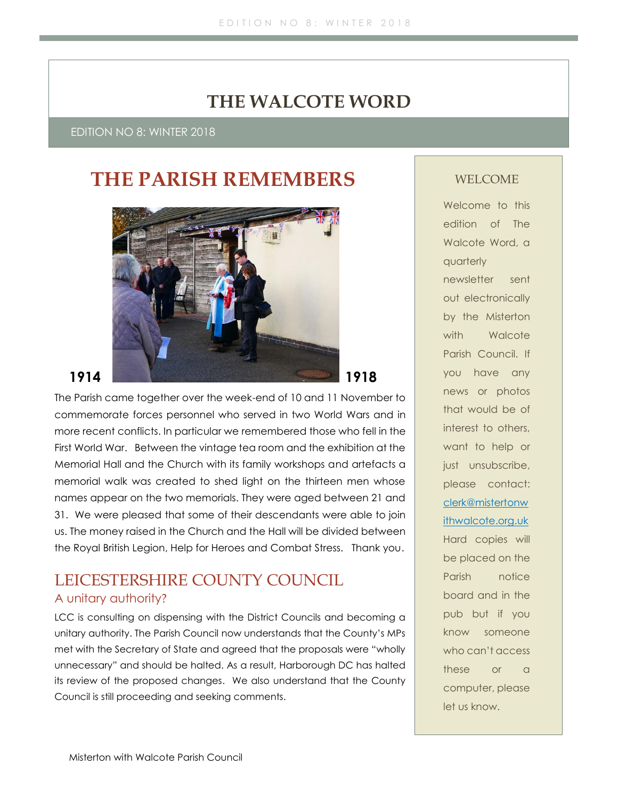# **THE WALCOTE WORD**

EDITION NO 8: WINTER 2018

# **THE PARISH REMEMBERS**



The Parish came together over the week-end of 10 and 11 November to commemorate forces personnel who served in two World Wars and in more recent conflicts. In particular we remembered those who fell in the First World War. Between the vintage tea room and the exhibition at the Memorial Hall and the Church with its family workshops and artefacts a memorial walk was created to shed light on the thirteen men whose names appear on the two memorials. They were aged between 21 and 31. We were pleased that some of their descendants were able to join us. The money raised in the Church and the Hall will be divided between the Royal British Legion, Help for Heroes and Combat Stress. Thank you.

## LEICESTERSHIRE COUNTY COUNCIL A unitary authority?

LCC is consulting on dispensing with the District Councils and becoming a unitary authority. The Parish Council now understands that the County's MPs met with the Secretary of State and agreed that the proposals were "wholly unnecessary" and should be halted. As a result, Harborough DC has halted its review of the proposed changes. We also understand that the County Council is still proceeding and seeking comments.

#### WELCOME

Welcome to this edition of The Walcote Word, a quarterly newsletter sent out electronically by the Misterton with Walcote Parish Council. If you have any news or photos that would be of interest to others, want to help or just unsubscribe, please contact: [clerk@mistertonw](mailto:clerk@mistertonwithwalcote.org.uk) [ithwalcote.org.uk](mailto:clerk@mistertonwithwalcote.org.uk) Hard copies will be placed on the Parish notice board and in the pub but if you know someone who can't access these or a computer, please let us know.